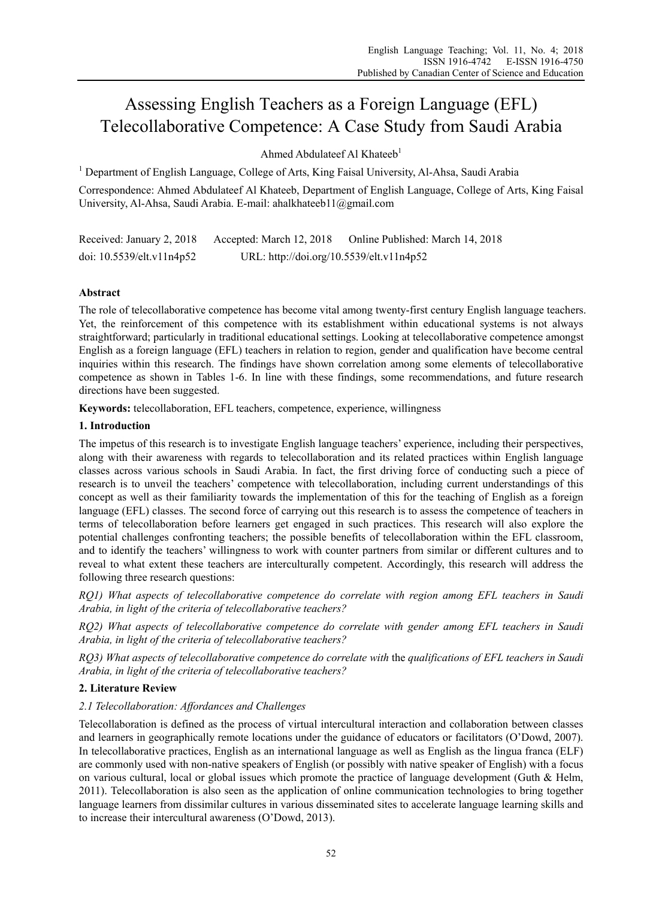# Assessing English Teachers as a Foreign Language (EFL) Telecollaborative Competence: A Case Study from Saudi Arabia

Ahmed Abdulateef Al Khateeb<sup>1</sup>

<sup>1</sup> Department of English Language, College of Arts, King Faisal University, Al-Ahsa, Saudi Arabia

Correspondence: Ahmed Abdulateef Al Khateeb, Department of English Language, College of Arts, King Faisal University, Al-Ahsa, Saudi Arabia. E-mail: ahalkhateeb11@gmail.com

Received: January 2, 2018 Accepted: March 12, 2018 Online Published: March 14, 2018 doi: 10.5539/elt.v11n4p52 URL: http://doi.org/10.5539/elt.v11n4p52

# **Abstract**

The role of telecollaborative competence has become vital among twenty-first century English language teachers. Yet, the reinforcement of this competence with its establishment within educational systems is not always straightforward; particularly in traditional educational settings. Looking at telecollaborative competence amongst English as a foreign language (EFL) teachers in relation to region, gender and qualification have become central inquiries within this research. The findings have shown correlation among some elements of telecollaborative competence as shown in Tables 1-6. In line with these findings, some recommendations, and future research directions have been suggested.

**Keywords:** telecollaboration, EFL teachers, competence, experience, willingness

#### **1. Introduction**

The impetus of this research is to investigate English language teachers' experience, including their perspectives, along with their awareness with regards to telecollaboration and its related practices within English language classes across various schools in Saudi Arabia. In fact, the first driving force of conducting such a piece of research is to unveil the teachers' competence with telecollaboration, including current understandings of this concept as well as their familiarity towards the implementation of this for the teaching of English as a foreign language (EFL) classes. The second force of carrying out this research is to assess the competence of teachers in terms of telecollaboration before learners get engaged in such practices. This research will also explore the potential challenges confronting teachers; the possible benefits of telecollaboration within the EFL classroom, and to identify the teachers' willingness to work with counter partners from similar or different cultures and to reveal to what extent these teachers are interculturally competent. Accordingly, this research will address the following three research questions:

*RQ1) What aspects of telecollaborative competence do correlate with region among EFL teachers in Saudi Arabia, in light of the criteria of telecollaborative teachers?* 

*RQ2) What aspects of telecollaborative competence do correlate with gender among EFL teachers in Saudi Arabia, in light of the criteria of telecollaborative teachers?* 

*RQ3) What aspects of telecollaborative competence do correlate with* the *qualifications of EFL teachers in Saudi Arabia, in light of the criteria of telecollaborative teachers?* 

# **2. Literature Review**

# *2.1 Telecollaboration: Affordances and Challenges*

Telecollaboration is defined as the process of virtual intercultural interaction and collaboration between classes and learners in geographically remote locations under the guidance of educators or facilitators (O'Dowd, 2007). In telecollaborative practices, English as an international language as well as English as the lingua franca (ELF) are commonly used with non-native speakers of English (or possibly with native speaker of English) with a focus on various cultural, local or global issues which promote the practice of language development (Guth  $\&$  Helm, 2011). Telecollaboration is also seen as the application of online communication technologies to bring together language learners from dissimilar cultures in various disseminated sites to accelerate language learning skills and to increase their intercultural awareness (O'Dowd, 2013).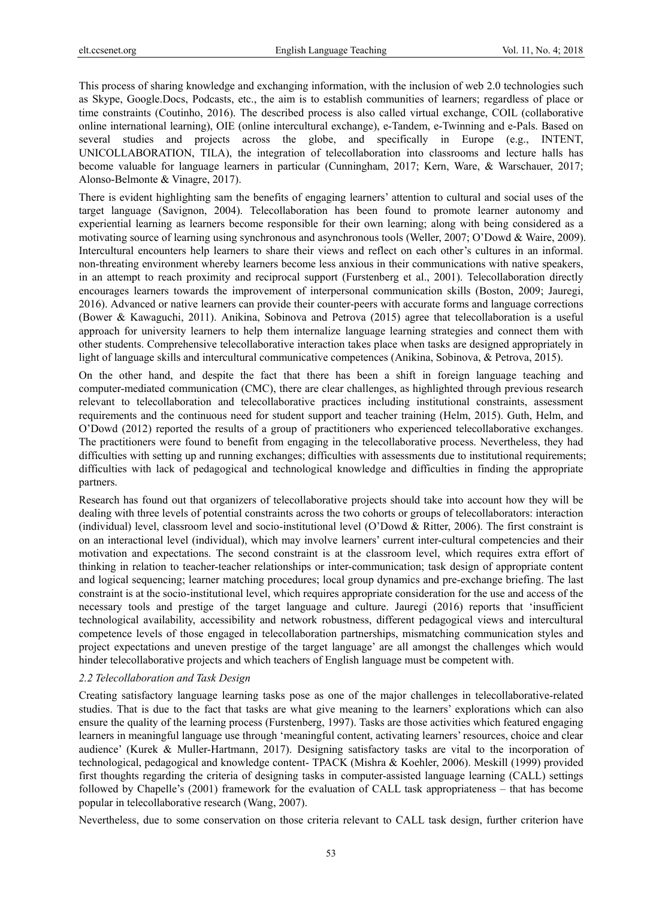This process of sharing knowledge and exchanging information, with the inclusion of web 2.0 technologies such as Skype, Google.Docs, Podcasts, etc., the aim is to establish communities of learners; regardless of place or time constraints (Coutinho, 2016). The described process is also called virtual exchange, COIL (collaborative online international learning), OIE (online intercultural exchange), e-Tandem, e-Twinning and e-Pals. Based on several studies and projects across the globe, and specifically in Europe (e.g., INTENT, UNICOLLABORATION, TILA), the integration of telecollaboration into classrooms and lecture halls has become valuable for language learners in particular (Cunningham, 2017; Kern, Ware, & Warschauer, 2017; Alonso-Belmonte & Vinagre, 2017).

There is evident highlighting sam the benefits of engaging learners' attention to cultural and social uses of the target language (Savignon, 2004). Telecollaboration has been found to promote learner autonomy and experiential learning as learners become responsible for their own learning; along with being considered as a motivating source of learning using synchronous and asynchronous tools (Weller, 2007; O'Dowd & Waire, 2009). Intercultural encounters help learners to share their views and reflect on each other's cultures in an informal. non-threating environment whereby learners become less anxious in their communications with native speakers, in an attempt to reach proximity and reciprocal support (Furstenberg et al., 2001). Telecollaboration directly encourages learners towards the improvement of interpersonal communication skills (Boston, 2009; Jauregi, 2016). Advanced or native learners can provide their counter-peers with accurate forms and language corrections (Bower & Kawaguchi, 2011). Anikina, Sobinova and Petrova (2015) agree that telecollaboration is a useful approach for university learners to help them internalize language learning strategies and connect them with other students. Comprehensive telecollaborative interaction takes place when tasks are designed appropriately in light of language skills and intercultural communicative competences (Anikina, Sobinova, & Petrova, 2015).

On the other hand, and despite the fact that there has been a shift in foreign language teaching and computer-mediated communication (CMC), there are clear challenges, as highlighted through previous research relevant to telecollaboration and telecollaborative practices including institutional constraints, assessment requirements and the continuous need for student support and teacher training (Helm, 2015). Guth, Helm, and O'Dowd (2012) reported the results of a group of practitioners who experienced telecollaborative exchanges. The practitioners were found to benefit from engaging in the telecollaborative process. Nevertheless, they had difficulties with setting up and running exchanges; difficulties with assessments due to institutional requirements; difficulties with lack of pedagogical and technological knowledge and difficulties in finding the appropriate partners.

Research has found out that organizers of telecollaborative projects should take into account how they will be dealing with three levels of potential constraints across the two cohorts or groups of telecollaborators: interaction (individual) level, classroom level and socio-institutional level (O'Dowd & Ritter, 2006). The first constraint is on an interactional level (individual), which may involve learners' current inter-cultural competencies and their motivation and expectations. The second constraint is at the classroom level, which requires extra effort of thinking in relation to teacher-teacher relationships or inter-communication; task design of appropriate content and logical sequencing; learner matching procedures; local group dynamics and pre-exchange briefing. The last constraint is at the socio-institutional level, which requires appropriate consideration for the use and access of the necessary tools and prestige of the target language and culture. Jauregi (2016) reports that 'insufficient technological availability, accessibility and network robustness, different pedagogical views and intercultural competence levels of those engaged in telecollaboration partnerships, mismatching communication styles and project expectations and uneven prestige of the target language' are all amongst the challenges which would hinder telecollaborative projects and which teachers of English language must be competent with.

#### *2.2 Telecollaboration and Task Design*

Creating satisfactory language learning tasks pose as one of the major challenges in telecollaborative-related studies. That is due to the fact that tasks are what give meaning to the learners' explorations which can also ensure the quality of the learning process (Furstenberg, 1997). Tasks are those activities which featured engaging learners in meaningful language use through 'meaningful content, activating learners' resources, choice and clear audience' (Kurek & Muller-Hartmann, 2017). Designing satisfactory tasks are vital to the incorporation of technological, pedagogical and knowledge content- TPACK (Mishra & Koehler, 2006). Meskill (1999) provided first thoughts regarding the criteria of designing tasks in computer-assisted language learning (CALL) settings followed by Chapelle's (2001) framework for the evaluation of CALL task appropriateness – that has become popular in telecollaborative research (Wang, 2007).

Nevertheless, due to some conservation on those criteria relevant to CALL task design, further criterion have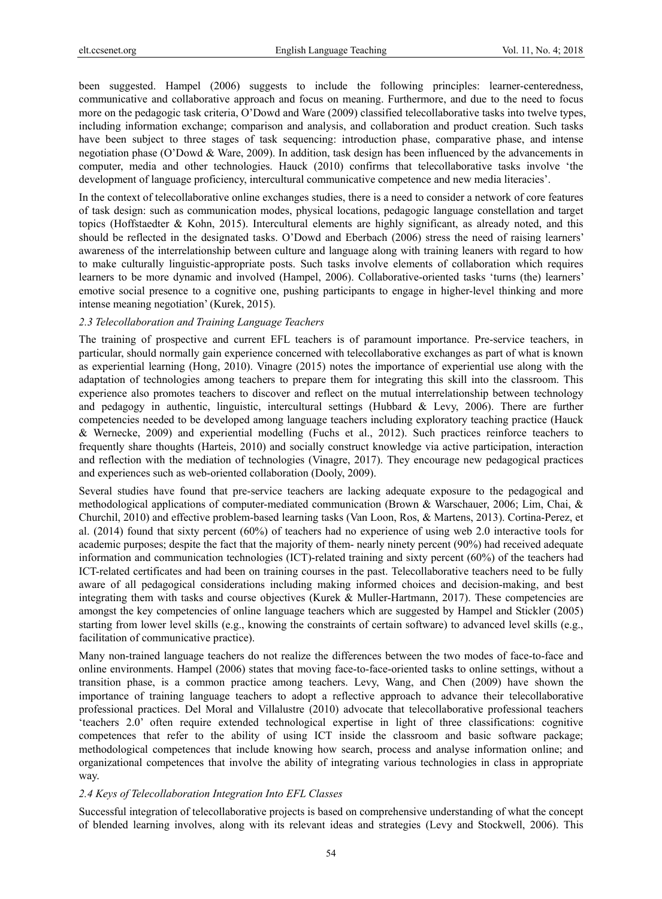been suggested. Hampel (2006) suggests to include the following principles: learner-centeredness, communicative and collaborative approach and focus on meaning. Furthermore, and due to the need to focus more on the pedagogic task criteria, O'Dowd and Ware (2009) classified telecollaborative tasks into twelve types, including information exchange; comparison and analysis, and collaboration and product creation. Such tasks have been subject to three stages of task sequencing: introduction phase, comparative phase, and intense negotiation phase (O'Dowd & Ware, 2009). In addition, task design has been influenced by the advancements in computer, media and other technologies. Hauck (2010) confirms that telecollaborative tasks involve 'the development of language proficiency, intercultural communicative competence and new media literacies'.

In the context of telecollaborative online exchanges studies, there is a need to consider a network of core features of task design: such as communication modes, physical locations, pedagogic language constellation and target topics (Hoffstaedter & Kohn, 2015). Intercultural elements are highly significant, as already noted, and this should be reflected in the designated tasks. O'Dowd and Eberbach (2006) stress the need of raising learners' awareness of the interrelationship between culture and language along with training leaners with regard to how to make culturally linguistic-appropriate posts. Such tasks involve elements of collaboration which requires learners to be more dynamic and involved (Hampel, 2006). Collaborative-oriented tasks 'turns (the) learners' emotive social presence to a cognitive one, pushing participants to engage in higher-level thinking and more intense meaning negotiation' (Kurek, 2015).

#### *2.3 Telecollaboration and Training Language Teachers*

The training of prospective and current EFL teachers is of paramount importance. Pre-service teachers, in particular, should normally gain experience concerned with telecollaborative exchanges as part of what is known as experiential learning (Hong, 2010). Vinagre (2015) notes the importance of experiential use along with the adaptation of technologies among teachers to prepare them for integrating this skill into the classroom. This experience also promotes teachers to discover and reflect on the mutual interrelationship between technology and pedagogy in authentic, linguistic, intercultural settings (Hubbard & Levy, 2006). There are further competencies needed to be developed among language teachers including exploratory teaching practice (Hauck & Wernecke, 2009) and experiential modelling (Fuchs et al., 2012). Such practices reinforce teachers to frequently share thoughts (Harteis, 2010) and socially construct knowledge via active participation, interaction and reflection with the mediation of technologies (Vinagre, 2017). They encourage new pedagogical practices and experiences such as web-oriented collaboration (Dooly, 2009).

Several studies have found that pre-service teachers are lacking adequate exposure to the pedagogical and methodological applications of computer-mediated communication (Brown & Warschauer, 2006; Lim, Chai, & Churchil, 2010) and effective problem-based learning tasks (Van Loon, Ros, & Martens, 2013). Cortina-Perez, et al. (2014) found that sixty percent (60%) of teachers had no experience of using web 2.0 interactive tools for academic purposes; despite the fact that the majority of them- nearly ninety percent (90%) had received adequate information and communication technologies (ICT)-related training and sixty percent (60%) of the teachers had ICT-related certificates and had been on training courses in the past. Telecollaborative teachers need to be fully aware of all pedagogical considerations including making informed choices and decision-making, and best integrating them with tasks and course objectives (Kurek & Muller-Hartmann, 2017). These competencies are amongst the key competencies of online language teachers which are suggested by Hampel and Stickler (2005) starting from lower level skills (e.g., knowing the constraints of certain software) to advanced level skills (e.g., facilitation of communicative practice).

Many non-trained language teachers do not realize the differences between the two modes of face-to-face and online environments. Hampel (2006) states that moving face-to-face-oriented tasks to online settings, without a transition phase, is a common practice among teachers. Levy, Wang, and Chen (2009) have shown the importance of training language teachers to adopt a reflective approach to advance their telecollaborative professional practices. Del Moral and Villalustre (2010) advocate that telecollaborative professional teachers 'teachers 2.0' often require extended technological expertise in light of three classifications: cognitive competences that refer to the ability of using ICT inside the classroom and basic software package; methodological competences that include knowing how search, process and analyse information online; and organizational competences that involve the ability of integrating various technologies in class in appropriate way.

#### *2.4 Keys of Telecollaboration Integration Into EFL Classes*

Successful integration of telecollaborative projects is based on comprehensive understanding of what the concept of blended learning involves, along with its relevant ideas and strategies (Levy and Stockwell, 2006). This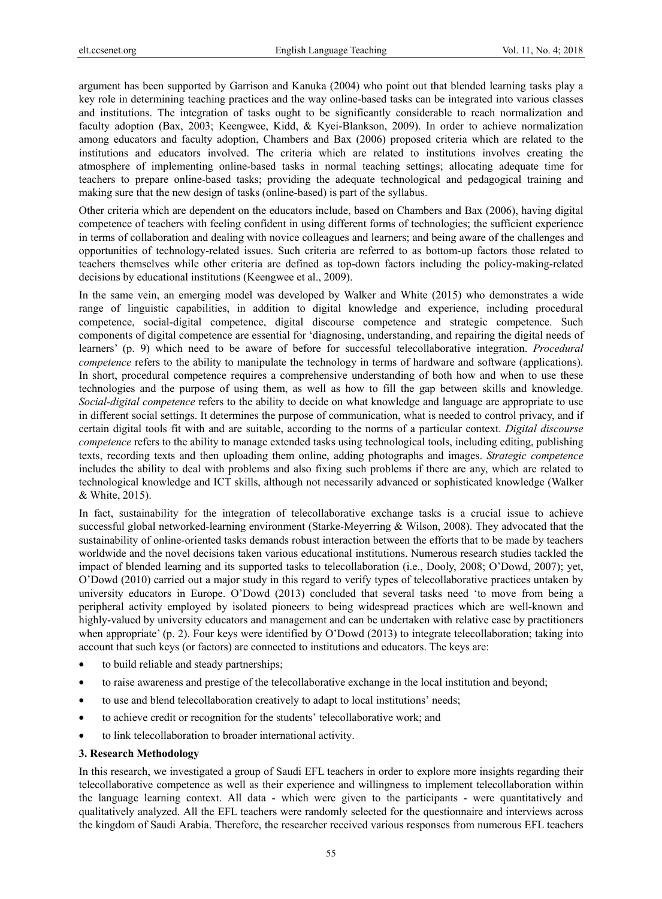argument has been supported by Garrison and Kanuka (2004) who point out that blended learning tasks play a key role in determining teaching practices and the way online-based tasks can be integrated into various classes and institutions. The integration of tasks ought to be significantly considerable to reach normalization and faculty adoption (Bax, 2003; Keengwee, Kidd, & Kyei-Blankson, 2009). In order to achieve normalization among educators and faculty adoption, Chambers and Bax (2006) proposed criteria which are related to the institutions and educators involved. The criteria which are related to institutions involves creating the atmosphere of implementing online-based tasks in normal teaching settings; allocating adequate time for teachers to prepare online-based tasks; providing the adequate technological and pedagogical training and making sure that the new design of tasks (online-based) is part of the syllabus.

Other criteria which are dependent on the educators include, based on Chambers and Bax (2006), having digital competence of teachers with feeling confident in using different forms of technologies; the sufficient experience in terms of collaboration and dealing with novice colleagues and learners; and being aware of the challenges and opportunities of technology-related issues. Such criteria are referred to as bottom-up factors those related to teachers themselves while other criteria are defined as top-down factors including the policy-making-related decisions by educational institutions (Keengwee et al., 2009).

In the same vein, an emerging model was developed by Walker and White (2015) who demonstrates a wide range of linguistic capabilities, in addition to digital knowledge and experience, including procedural competence, social-digital competence, digital discourse competence and strategic competence. Such components of digital competence are essential for 'diagnosing, understanding, and repairing the digital needs of learners' (p. 9) which need to be aware of before for successful telecollaborative integration. *Procedural competence* refers to the ability to manipulate the technology in terms of hardware and software (applications). In short, procedural competence requires a comprehensive understanding of both how and when to use these technologies and the purpose of using them, as well as how to fill the gap between skills and knowledge. *Social-digital competence* refers to the ability to decide on what knowledge and language are appropriate to use in different social settings. It determines the purpose of communication, what is needed to control privacy, and if certain digital tools fit with and are suitable, according to the norms of a particular context. *Digital discourse competence* refers to the ability to manage extended tasks using technological tools, including editing, publishing texts, recording texts and then uploading them online, adding photographs and images. *Strategic competence* includes the ability to deal with problems and also fixing such problems if there are any, which are related to technological knowledge and ICT skills, although not necessarily advanced or sophisticated knowledge (Walker & White, 2015).

In fact, sustainability for the integration of telecollaborative exchange tasks is a crucial issue to achieve successful global networked-learning environment (Starke-Meyerring & Wilson, 2008). They advocated that the sustainability of online-oriented tasks demands robust interaction between the efforts that to be made by teachers worldwide and the novel decisions taken various educational institutions. Numerous research studies tackled the impact of blended learning and its supported tasks to telecollaboration (i.e., Dooly, 2008; O'Dowd, 2007); yet, O'Dowd (2010) carried out a major study in this regard to verify types of telecollaborative practices untaken by university educators in Europe. O'Dowd (2013) concluded that several tasks need 'to move from being a peripheral activity employed by isolated pioneers to being widespread practices which are well-known and highly-valued by university educators and management and can be undertaken with relative ease by practitioners when appropriate' (p. 2). Four keys were identified by O'Dowd (2013) to integrate telecollaboration; taking into account that such keys (or factors) are connected to institutions and educators. The keys are:

- to build reliable and steady partnerships;
- to raise awareness and prestige of the telecollaborative exchange in the local institution and beyond;
- to use and blend telecollaboration creatively to adapt to local institutions' needs;
- to achieve credit or recognition for the students' telecollaborative work; and
- to link telecollaboration to broader international activity.

#### **3. Research Methodology**

In this research, we investigated a group of Saudi EFL teachers in order to explore more insights regarding their telecollaborative competence as well as their experience and willingness to implement telecollaboration within the language learning context. All data - which were given to the participants - were quantitatively and qualitatively analyzed. All the EFL teachers were randomly selected for the questionnaire and interviews across the kingdom of Saudi Arabia. Therefore, the researcher received various responses from numerous EFL teachers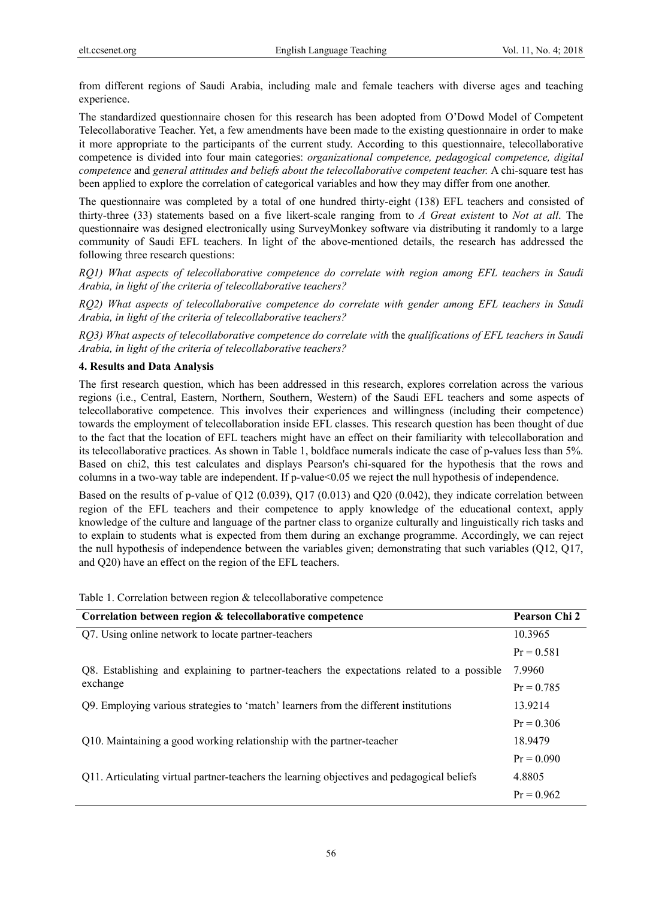from different regions of Saudi Arabia, including male and female teachers with diverse ages and teaching experience.

The standardized questionnaire chosen for this research has been adopted from O'Dowd Model of Competent Telecollaborative Teacher. Yet, a few amendments have been made to the existing questionnaire in order to make it more appropriate to the participants of the current study. According to this questionnaire, telecollaborative competence is divided into four main categories: *organizational competence, pedagogical competence, digital competence* and *general attitudes and beliefs about the telecollaborative competent teacher.* A chi-square test has been applied to explore the correlation of categorical variables and how they may differ from one another.

The questionnaire was completed by a total of one hundred thirty-eight (138) EFL teachers and consisted of thirty-three (33) statements based on a five likert-scale ranging from to *A Great existent* to *Not at all*. The questionnaire was designed electronically using SurveyMonkey software via distributing it randomly to a large community of Saudi EFL teachers. In light of the above-mentioned details, the research has addressed the following three research questions:

*RQ1) What aspects of telecollaborative competence do correlate with region among EFL teachers in Saudi Arabia, in light of the criteria of telecollaborative teachers?* 

*RQ2) What aspects of telecollaborative competence do correlate with gender among EFL teachers in Saudi Arabia, in light of the criteria of telecollaborative teachers?* 

*RQ3) What aspects of telecollaborative competence do correlate with* the *qualifications of EFL teachers in Saudi Arabia, in light of the criteria of telecollaborative teachers?* 

#### **4. Results and Data Analysis**

The first research question, which has been addressed in this research, explores correlation across the various regions (i.e., Central, Eastern, Northern, Southern, Western) of the Saudi EFL teachers and some aspects of telecollaborative competence. This involves their experiences and willingness (including their competence) towards the employment of telecollaboration inside EFL classes. This research question has been thought of due to the fact that the location of EFL teachers might have an effect on their familiarity with telecollaboration and its telecollaborative practices. As shown in Table 1, boldface numerals indicate the case of p-values less than 5%. Based on chi2, this test calculates and displays Pearson's chi-squared for the hypothesis that the rows and columns in a two-way table are independent. If p-value<0.05 we reject the null hypothesis of independence.

Based on the results of p-value of Q12 (0.039), Q17 (0.013) and Q20 (0.042), they indicate correlation between region of the EFL teachers and their competence to apply knowledge of the educational context, apply knowledge of the culture and language of the partner class to organize culturally and linguistically rich tasks and to explain to students what is expected from them during an exchange programme. Accordingly, we can reject the null hypothesis of independence between the variables given; demonstrating that such variables (Q12, Q17, and Q20) have an effect on the region of the EFL teachers.

| Correlation between region & telecollaborative competence                                       | Pearson Chi 2 |
|-------------------------------------------------------------------------------------------------|---------------|
| Q7. Using online network to locate partner-teachers                                             | 10.3965       |
|                                                                                                 | $Pr = 0.581$  |
| Q8. Establishing and explaining to partner-teachers the expectations related to a possible      | 7.9960        |
| exchange                                                                                        | $Pr = 0.785$  |
| 13.9214<br>Q9. Employing various strategies to 'match' learners from the different institutions |               |
|                                                                                                 | $Pr = 0.306$  |
| Q10. Maintaining a good working relationship with the partner-teacher                           | 18.9479       |
|                                                                                                 | $Pr = 0.090$  |
| Q11. Articulating virtual partner-teachers the learning objectives and pedagogical beliefs      | 4.8805        |
|                                                                                                 | $Pr = 0.962$  |

Table 1. Correlation between region & telecollaborative competence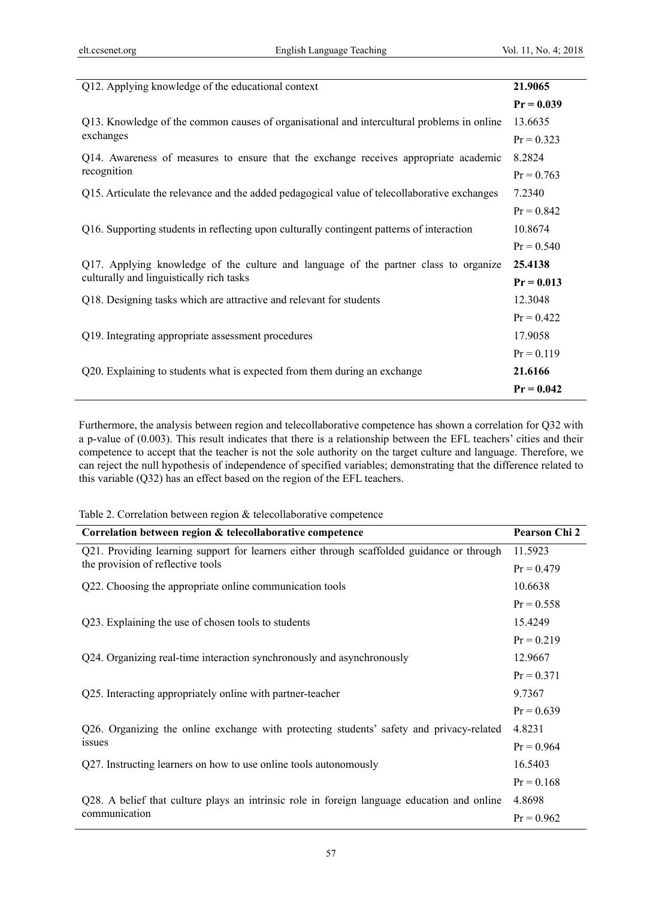| Q12. Applying knowledge of the educational context                                           | 21.9065      |
|----------------------------------------------------------------------------------------------|--------------|
|                                                                                              | $Pr = 0.039$ |
| Q13. Knowledge of the common causes of organisational and intercultural problems in online   | 13.6635      |
| exchanges                                                                                    | $Pr = 0.323$ |
| Q14. Awareness of measures to ensure that the exchange receives appropriate academic         | 8.2824       |
| recognition                                                                                  | $Pr = 0.763$ |
| Q15. Articulate the relevance and the added pedagogical value of telecollaborative exchanges | 7.2340       |
|                                                                                              | $Pr = 0.842$ |
| Q16. Supporting students in reflecting upon culturally contingent patterns of interaction    | 10.8674      |
|                                                                                              | $Pr = 0.540$ |
| Q17. Applying knowledge of the culture and language of the partner class to organize         | 25.4138      |
| culturally and linguistically rich tasks<br>$Pr = 0.013$                                     |              |
| Q18. Designing tasks which are attractive and relevant for students                          | 12.3048      |
|                                                                                              | $Pr = 0.422$ |
| Q19. Integrating appropriate assessment procedures                                           | 17.9058      |
|                                                                                              | $Pr = 0.119$ |
| Q20. Explaining to students what is expected from them during an exchange                    | 21.6166      |
|                                                                                              | $Pr = 0.042$ |

Furthermore, the analysis between region and telecollaborative competence has shown a correlation for Q32 with a p-value of (0.003). This result indicates that there is a relationship between the EFL teachers' cities and their competence to accept that the teacher is not the sole authority on the target culture and language. Therefore, we can reject the null hypothesis of independence of specified variables; demonstrating that the difference related to this variable (Q32) has an effect based on the region of the EFL teachers.

Table 2. Correlation between region & telecollaborative competence

| Correlation between region & telecollaborative competence                                   | Pearson Chi 2 |  |
|---------------------------------------------------------------------------------------------|---------------|--|
| Q21. Providing learning support for learners either through scaffolded guidance or through  | 11.5923       |  |
| the provision of reflective tools<br>$Pr = 0.479$                                           |               |  |
| Q22. Choosing the appropriate online communication tools                                    | 10.6638       |  |
|                                                                                             | $Pr = 0.558$  |  |
| Q23. Explaining the use of chosen tools to students                                         | 15.4249       |  |
|                                                                                             | $Pr = 0.219$  |  |
| Q24. Organizing real-time interaction synchronously and asynchronously                      | 12.9667       |  |
|                                                                                             | $Pr = 0.371$  |  |
| 9.7367<br>Q25. Interacting appropriately online with partner-teacher                        |               |  |
|                                                                                             | $Pr = 0.639$  |  |
| Q26. Organizing the online exchange with protecting students' safety and privacy-related    | 4.8231        |  |
| <i>issues</i>                                                                               | $Pr = 0.964$  |  |
| Q27. Instructing learners on how to use online tools autonomously                           | 16.5403       |  |
|                                                                                             | $Pr = 0.168$  |  |
| Q28. A belief that culture plays an intrinsic role in foreign language education and online | 4.8698        |  |
| communication<br>$Pr = 0.962$                                                               |               |  |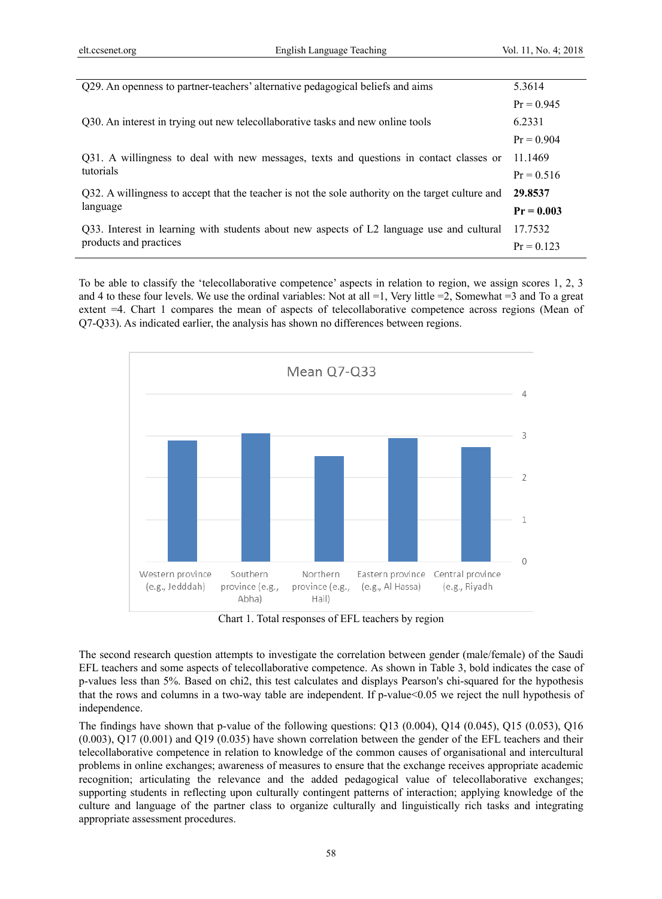| Q29. An openness to partner-teachers' alternative pedagogical beliefs and aims                    | 5.3614       |
|---------------------------------------------------------------------------------------------------|--------------|
|                                                                                                   | $Pr = 0.945$ |
| Q30. An interest in trying out new telecollaborative tasks and new online tools                   | 6.2331       |
|                                                                                                   | $Pr = 0.904$ |
| Q31. A willingness to deal with new messages, texts and questions in contact classes or           | 11.1469      |
| tutorials                                                                                         | $Pr = 0.516$ |
| Q32. A willingness to accept that the teacher is not the sole authority on the target culture and | 29.8537      |
| language                                                                                          | $Pr = 0.003$ |
| Q33. Interest in learning with students about new aspects of L2 language use and cultural         | 17.7532      |
| products and practices                                                                            | $Pr = 0.123$ |

To be able to classify the 'telecollaborative competence' aspects in relation to region, we assign scores 1, 2, 3 and 4 to these four levels. We use the ordinal variables: Not at all  $=1$ , Very little  $=2$ , Somewhat  $=3$  and To a great extent =4. Chart 1 compares the mean of aspects of telecollaborative competence across regions (Mean of Q7-Q33). As indicated earlier, the analysis has shown no differences between regions.



Chart 1. Total responses of EFL teachers by region

The second research question attempts to investigate the correlation between gender (male/female) of the Saudi EFL teachers and some aspects of telecollaborative competence. As shown in Table 3, bold indicates the case of p-values less than 5%. Based on chi2, this test calculates and displays Pearson's chi-squared for the hypothesis that the rows and columns in a two-way table are independent. If p-value<0.05 we reject the null hypothesis of independence.

The findings have shown that p-value of the following questions: Q13 (0.004), Q14 (0.045), Q15 (0.053), Q16 (0.003), Q17 (0.001) and Q19 (0.035) have shown correlation between the gender of the EFL teachers and their telecollaborative competence in relation to knowledge of the common causes of organisational and intercultural problems in online exchanges; awareness of measures to ensure that the exchange receives appropriate academic recognition; articulating the relevance and the added pedagogical value of telecollaborative exchanges; supporting students in reflecting upon culturally contingent patterns of interaction; applying knowledge of the culture and language of the partner class to organize culturally and linguistically rich tasks and integrating appropriate assessment procedures.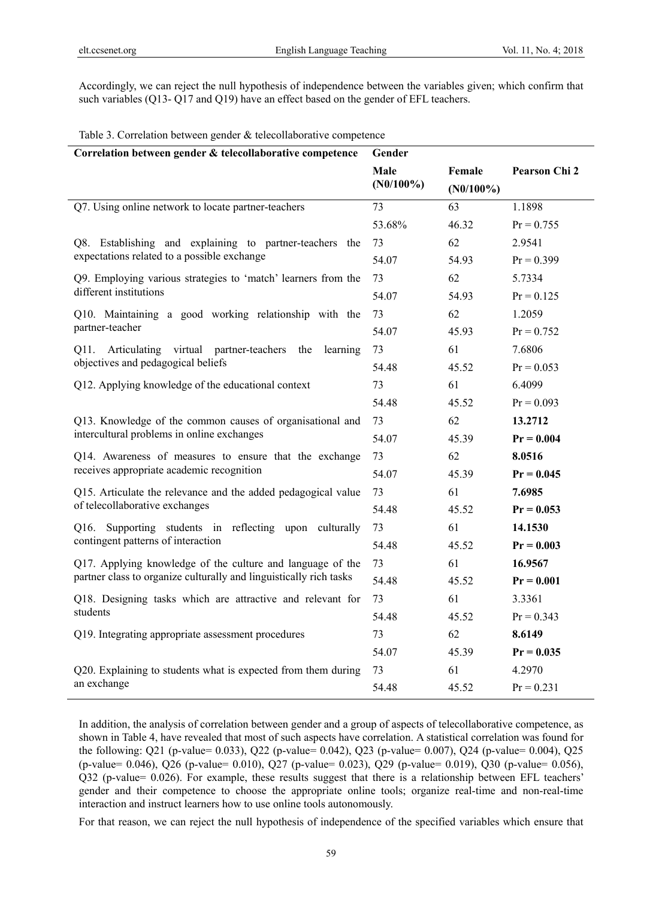Accordingly, we can reject the null hypothesis of independence between the variables given; which confirm that such variables (Q13- Q17 and Q19) have an effect based on the gender of EFL teachers.

|  |  |  |  | Table 3. Correlation between gender & telecollaborative competence |
|--|--|--|--|--------------------------------------------------------------------|
|--|--|--|--|--------------------------------------------------------------------|

| Correlation between gender & telecollaborative competence          | Gender               |                        |               |  |
|--------------------------------------------------------------------|----------------------|------------------------|---------------|--|
|                                                                    | Male<br>$(N0/100\%)$ | Female<br>$(N0/100\%)$ | Pearson Chi 2 |  |
| Q7. Using online network to locate partner-teachers                | 73                   | 63                     | 1.1898        |  |
|                                                                    | 53.68%               | 46.32                  | $Pr = 0.755$  |  |
| Q8. Establishing and explaining to partner-teachers the            | 73                   | 62                     | 2.9541        |  |
| expectations related to a possible exchange                        | 54.07                | 54.93                  | $Pr = 0.399$  |  |
| Q9. Employing various strategies to 'match' learners from the      | 73                   | 62                     | 5.7334        |  |
| different institutions                                             | 54.07                | 54.93                  | $Pr = 0.125$  |  |
| Q10. Maintaining a good working relationship with the              | 73                   | 62                     | 1.2059        |  |
| partner-teacher                                                    | 54.07                | 45.93                  | $Pr = 0.752$  |  |
| Articulating virtual partner-teachers<br>learning<br>O11.<br>the   | 73                   | 61                     | 7.6806        |  |
| objectives and pedagogical beliefs                                 | 54.48                | 45.52                  | $Pr = 0.053$  |  |
| Q12. Applying knowledge of the educational context                 | 73                   | 61                     | 6.4099        |  |
|                                                                    | 54.48                | 45.52                  | $Pr = 0.093$  |  |
| Q13. Knowledge of the common causes of organisational and          | 73                   | 62                     | 13.2712       |  |
| intercultural problems in online exchanges                         | 54.07                | 45.39                  | $Pr = 0.004$  |  |
| Q14. Awareness of measures to ensure that the exchange             | 73                   | 62                     | 8.0516        |  |
| receives appropriate academic recognition                          | 54.07                | 45.39                  | $Pr = 0.045$  |  |
| Q15. Articulate the relevance and the added pedagogical value      | 73                   | 61                     | 7.6985        |  |
| of telecollaborative exchanges                                     | 54.48                | 45.52                  | $Pr = 0.053$  |  |
| Q16. Supporting students in reflecting upon culturally             | 73                   | 61                     | 14.1530       |  |
| contingent patterns of interaction                                 | 54.48                | 45.52                  | $Pr = 0.003$  |  |
| Q17. Applying knowledge of the culture and language of the         | 73                   | 61                     | 16.9567       |  |
| partner class to organize culturally and linguistically rich tasks | 54.48                | 45.52                  | $Pr = 0.001$  |  |
| Q18. Designing tasks which are attractive and relevant for         | 73                   | 61                     | 3.3361        |  |
| students                                                           | 54.48                | 45.52                  | $Pr = 0.343$  |  |
| Q19. Integrating appropriate assessment procedures                 | 73                   | 62                     | 8.6149        |  |
|                                                                    | 54.07                | 45.39                  | $Pr = 0.035$  |  |
| Q20. Explaining to students what is expected from them during      | 73                   | 61                     | 4.2970        |  |
| an exchange                                                        | 54.48                | 45.52                  | $Pr = 0.231$  |  |

In addition, the analysis of correlation between gender and a group of aspects of telecollaborative competence, as shown in Table 4, have revealed that most of such aspects have correlation. A statistical correlation was found for the following: Q21 (p-value= 0.033), Q22 (p-value= 0.042), Q23 (p-value= 0.007), Q24 (p-value= 0.004), Q25 (p-value= 0.046), Q26 (p-value= 0.010), Q27 (p-value= 0.023), Q29 (p-value= 0.019), Q30 (p-value= 0.056), Q32 (p-value= 0.026). For example, these results suggest that there is a relationship between EFL teachers' gender and their competence to choose the appropriate online tools; organize real-time and non-real-time interaction and instruct learners how to use online tools autonomously.

For that reason, we can reject the null hypothesis of independence of the specified variables which ensure that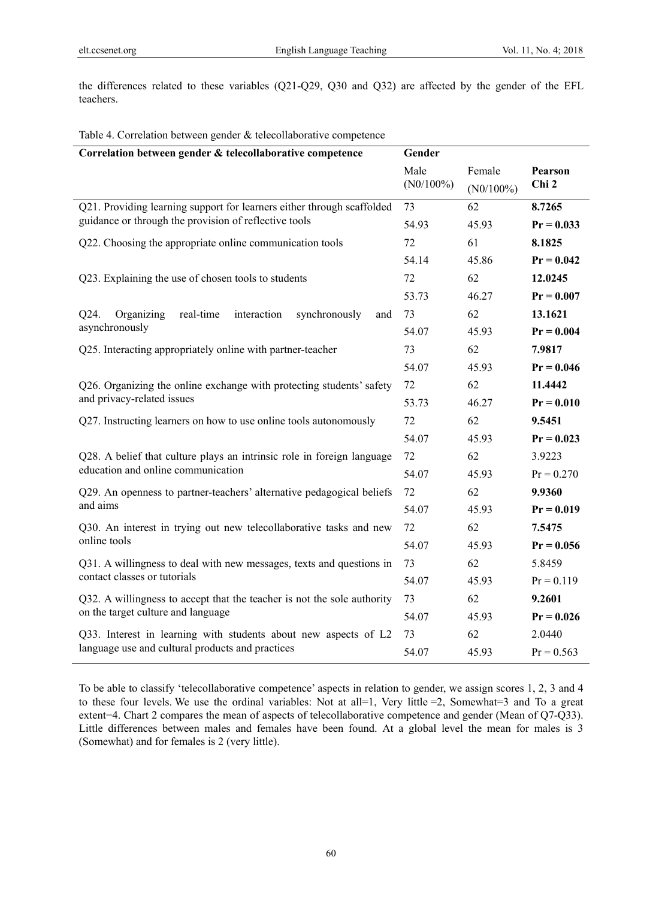the differences related to these variables (Q21-Q29, Q30 and Q32) are affected by the gender of the EFL teachers.

#### Table 4. Correlation between gender & telecollaborative competence

| Correlation between gender & telecollaborative competence               | Gender               |                        |                  |  |
|-------------------------------------------------------------------------|----------------------|------------------------|------------------|--|
|                                                                         | Male<br>$(N0/100\%)$ | Female<br>$(N0/100\%)$ | Pearson<br>Chi 2 |  |
| Q21. Providing learning support for learners either through scaffolded  | 73                   | 62                     | 8.7265           |  |
| guidance or through the provision of reflective tools                   | 54.93                | 45.93                  | $Pr = 0.033$     |  |
| Q22. Choosing the appropriate online communication tools                | 72                   | 61                     | 8.1825           |  |
|                                                                         | 54.14                | 45.86                  | $Pr = 0.042$     |  |
| Q23. Explaining the use of chosen tools to students                     | 72                   | 62                     | 12.0245          |  |
|                                                                         | 53.73                | 46.27                  | $Pr = 0.007$     |  |
| Q24.<br>Organizing<br>real-time<br>interaction<br>synchronously<br>and  | 73                   | 62                     | 13.1621          |  |
| asynchronously                                                          | 54.07                | 45.93                  | $Pr = 0.004$     |  |
| Q25. Interacting appropriately online with partner-teacher              | 73                   | 62                     | 7.9817           |  |
|                                                                         | 54.07                | 45.93                  | $Pr = 0.046$     |  |
| Q26. Organizing the online exchange with protecting students' safety    | 72                   | 62                     | 11.4442          |  |
| and privacy-related issues                                              | 53.73                | 46.27                  | $Pr = 0.010$     |  |
| Q27. Instructing learners on how to use online tools autonomously       | 72                   | 62                     | 9.5451           |  |
|                                                                         | 54.07                | 45.93                  | $Pr = 0.023$     |  |
| Q28. A belief that culture plays an intrinsic role in foreign language  | 72                   | 62                     | 3.9223           |  |
| education and online communication                                      | 54.07                | 45.93                  | $Pr = 0.270$     |  |
| Q29. An openness to partner-teachers' alternative pedagogical beliefs   | 72                   | 62                     | 9.9360           |  |
| and aims                                                                | 54.07                | 45.93                  | $Pr = 0.019$     |  |
| Q30. An interest in trying out new telecollaborative tasks and new      | 72                   | 62                     | 7.5475           |  |
| online tools                                                            | 54.07                | 45.93                  | $Pr = 0.056$     |  |
| Q31. A willingness to deal with new messages, texts and questions in    | 73                   | 62                     | 5.8459           |  |
| contact classes or tutorials                                            | 54.07                | 45.93                  | $Pr = 0.119$     |  |
| Q32. A willingness to accept that the teacher is not the sole authority | 73                   | 62                     | 9.2601           |  |
| on the target culture and language                                      | 54.07                | 45.93                  | $Pr = 0.026$     |  |
| Q33. Interest in learning with students about new aspects of L2         | 73                   | 62                     | 2.0440           |  |
| language use and cultural products and practices                        | 54.07                | 45.93                  | $Pr = 0.563$     |  |

To be able to classify 'telecollaborative competence' aspects in relation to gender, we assign scores 1, 2, 3 and 4 to these four levels. We use the ordinal variables: Not at all=1, Very little =2, Somewhat=3 and To a great extent=4. Chart 2 compares the mean of aspects of telecollaborative competence and gender (Mean of Q7-Q33). Little differences between males and females have been found. At a global level the mean for males is 3 (Somewhat) and for females is 2 (very little).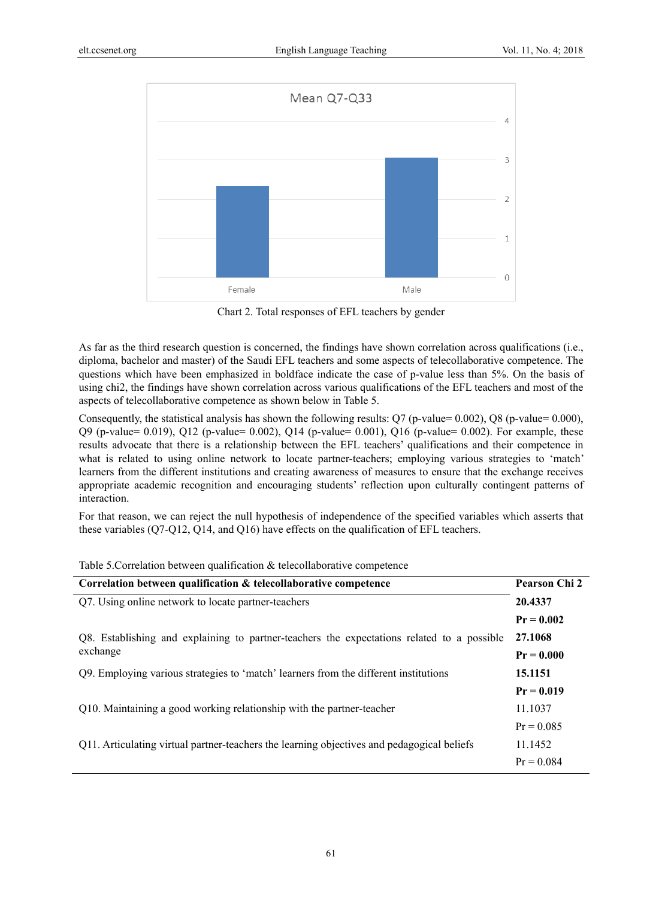

Chart 2. Total responses of EFL teachers by gender

As far as the third research question is concerned, the findings have shown correlation across qualifications (i.e., diploma, bachelor and master) of the Saudi EFL teachers and some aspects of telecollaborative competence. The questions which have been emphasized in boldface indicate the case of p-value less than 5%. On the basis of using chi2, the findings have shown correlation across various qualifications of the EFL teachers and most of the aspects of telecollaborative competence as shown below in Table 5.

Consequently, the statistical analysis has shown the following results:  $Q7$  (p-value= 0.002),  $Q8$  (p-value= 0.000),  $Q9$  (p-value= 0.019),  $Q12$  (p-value= 0.002),  $Q14$  (p-value= 0.001),  $Q16$  (p-value= 0.002). For example, these results advocate that there is a relationship between the EFL teachers' qualifications and their competence in what is related to using online network to locate partner-teachers; employing various strategies to 'match' learners from the different institutions and creating awareness of measures to ensure that the exchange receives appropriate academic recognition and encouraging students' reflection upon culturally contingent patterns of interaction.

For that reason, we can reject the null hypothesis of independence of the specified variables which asserts that these variables (Q7-Q12, Q14, and Q16) have effects on the qualification of EFL teachers.

| Correlation between qualification & telecollaborative competence                           | Pearson Chi 2 |
|--------------------------------------------------------------------------------------------|---------------|
| Q7. Using online network to locate partner-teachers                                        | 20.4337       |
|                                                                                            | $Pr = 0.002$  |
| Q8. Establishing and explaining to partner-teachers the expectations related to a possible | 27.1068       |
| exchange                                                                                   | $Pr = 0.000$  |
| O. Employing various strategies to 'match' learners from the different institutions        | 15.1151       |
|                                                                                            | $Pr = 0.019$  |
| Q10. Maintaining a good working relationship with the partner-teacher                      | 11.1037       |
|                                                                                            | $Pr = 0.085$  |
| Q11. Articulating virtual partner-teachers the learning objectives and pedagogical beliefs | 11.1452       |
|                                                                                            | $Pr = 0.084$  |

Table 5.Correlation between qualification & telecollaborative competence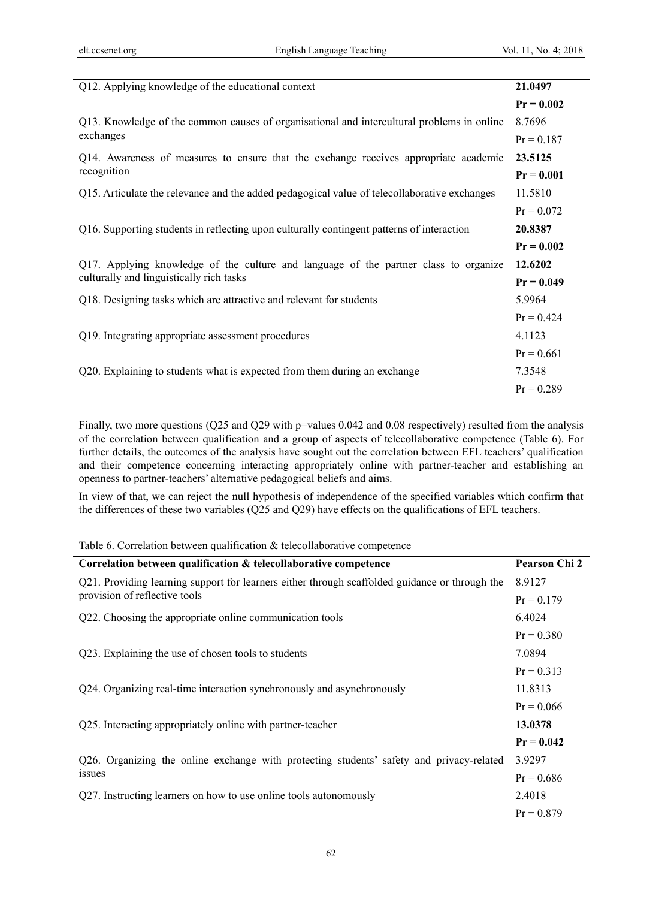| Q12. Applying knowledge of the educational context                                           | 21.0497      |
|----------------------------------------------------------------------------------------------|--------------|
|                                                                                              | $Pr = 0.002$ |
| Q13. Knowledge of the common causes of organisational and intercultural problems in online   | 8.7696       |
| exchanges                                                                                    | $Pr = 0.187$ |
| Q14. Awareness of measures to ensure that the exchange receives appropriate academic         | 23.5125      |
| recognition                                                                                  | $Pr = 0.001$ |
| Q15. Articulate the relevance and the added pedagogical value of telecollaborative exchanges | 11.5810      |
|                                                                                              | $Pr = 0.072$ |
| Q16. Supporting students in reflecting upon culturally contingent patterns of interaction    | 20.8387      |
|                                                                                              | $Pr = 0.002$ |
| Q17. Applying knowledge of the culture and language of the partner class to organize         | 12.6202      |
| culturally and linguistically rich tasks                                                     | $Pr = 0.049$ |
| Q18. Designing tasks which are attractive and relevant for students                          | 5.9964       |
|                                                                                              | $Pr = 0.424$ |
| Q19. Integrating appropriate assessment procedures                                           | 4.1123       |
|                                                                                              | $Pr = 0.661$ |
| Q20. Explaining to students what is expected from them during an exchange                    | 7.3548       |
|                                                                                              | $Pr = 0.289$ |

Finally, two more questions (Q25 and Q29 with p=values 0.042 and 0.08 respectively) resulted from the analysis of the correlation between qualification and a group of aspects of telecollaborative competence (Table 6). For further details, the outcomes of the analysis have sought out the correlation between EFL teachers' qualification and their competence concerning interacting appropriately online with partner-teacher and establishing an openness to partner-teachers' alternative pedagogical beliefs and aims.

In view of that, we can reject the null hypothesis of independence of the specified variables which confirm that the differences of these two variables (Q25 and Q29) have effects on the qualifications of EFL teachers.

# Table 6. Correlation between qualification & telecollaborative competence

| Correlation between qualification & telecollaborative competence                               | Pearson Chi 2 |
|------------------------------------------------------------------------------------------------|---------------|
| Q21. Providing learning support for learners either through scaffolded guidance or through the | 8.9127        |
| provision of reflective tools                                                                  | $Pr = 0.179$  |
| Q22. Choosing the appropriate online communication tools                                       | 6.4024        |
|                                                                                                | $Pr = 0.380$  |
| Q23. Explaining the use of chosen tools to students                                            | 7.0894        |
|                                                                                                | $Pr = 0.313$  |
| Q24. Organizing real-time interaction synchronously and asynchronously                         | 11.8313       |
|                                                                                                | $Pr = 0.066$  |
| Q25. Interacting appropriately online with partner-teacher                                     | 13.0378       |
|                                                                                                | $Pr = 0.042$  |
| Q26. Organizing the online exchange with protecting students' safety and privacy-related       | 3.9297        |
| <i>issues</i>                                                                                  | $Pr = 0.686$  |
| Q27. Instructing learners on how to use online tools autonomously                              | 2.4018        |
|                                                                                                | $Pr = 0.879$  |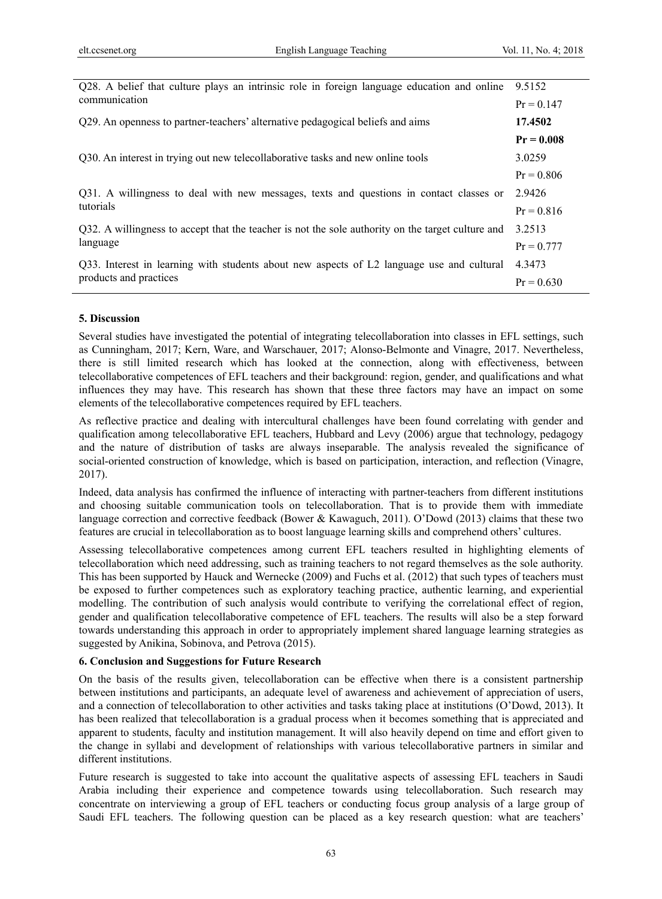| 9.5152       |
|--------------|
| $Pr = 0.147$ |
| 17.4502      |
| $Pr = 0.008$ |
| 3.0259       |
| $Pr = 0.806$ |
| 2.9426       |
| $Pr = 0.816$ |
| 3.2513       |
| $Pr = 0.777$ |
| 4.3473       |
| $Pr = 0.630$ |
|              |

#### **5. Discussion**

Several studies have investigated the potential of integrating telecollaboration into classes in EFL settings, such as Cunningham, 2017; Kern, Ware, and Warschauer, 2017; Alonso-Belmonte and Vinagre, 2017. Nevertheless, there is still limited research which has looked at the connection, along with effectiveness, between telecollaborative competences of EFL teachers and their background: region, gender, and qualifications and what influences they may have. This research has shown that these three factors may have an impact on some elements of the telecollaborative competences required by EFL teachers.

As reflective practice and dealing with intercultural challenges have been found correlating with gender and qualification among telecollaborative EFL teachers, Hubbard and Levy (2006) argue that technology, pedagogy and the nature of distribution of tasks are always inseparable. The analysis revealed the significance of social-oriented construction of knowledge, which is based on participation, interaction, and reflection (Vinagre, 2017).

Indeed, data analysis has confirmed the influence of interacting with partner-teachers from different institutions and choosing suitable communication tools on telecollaboration. That is to provide them with immediate language correction and corrective feedback (Bower & Kawaguch, 2011). O'Dowd (2013) claims that these two features are crucial in telecollaboration as to boost language learning skills and comprehend others' cultures.

Assessing telecollaborative competences among current EFL teachers resulted in highlighting elements of telecollaboration which need addressing, such as training teachers to not regard themselves as the sole authority. This has been supported by Hauck and Wernecke (2009) and Fuchs et al. (2012) that such types of teachers must be exposed to further competences such as exploratory teaching practice, authentic learning, and experiential modelling. The contribution of such analysis would contribute to verifying the correlational effect of region, gender and qualification telecollaborative competence of EFL teachers. The results will also be a step forward towards understanding this approach in order to appropriately implement shared language learning strategies as suggested by Anikina, Sobinova, and Petrova (2015).

#### **6. Conclusion and Suggestions for Future Research**

On the basis of the results given, telecollaboration can be effective when there is a consistent partnership between institutions and participants, an adequate level of awareness and achievement of appreciation of users, and a connection of telecollaboration to other activities and tasks taking place at institutions (O'Dowd, 2013). It has been realized that telecollaboration is a gradual process when it becomes something that is appreciated and apparent to students, faculty and institution management. It will also heavily depend on time and effort given to the change in syllabi and development of relationships with various telecollaborative partners in similar and different institutions.

Future research is suggested to take into account the qualitative aspects of assessing EFL teachers in Saudi Arabia including their experience and competence towards using telecollaboration. Such research may concentrate on interviewing a group of EFL teachers or conducting focus group analysis of a large group of Saudi EFL teachers. The following question can be placed as a key research question: what are teachers'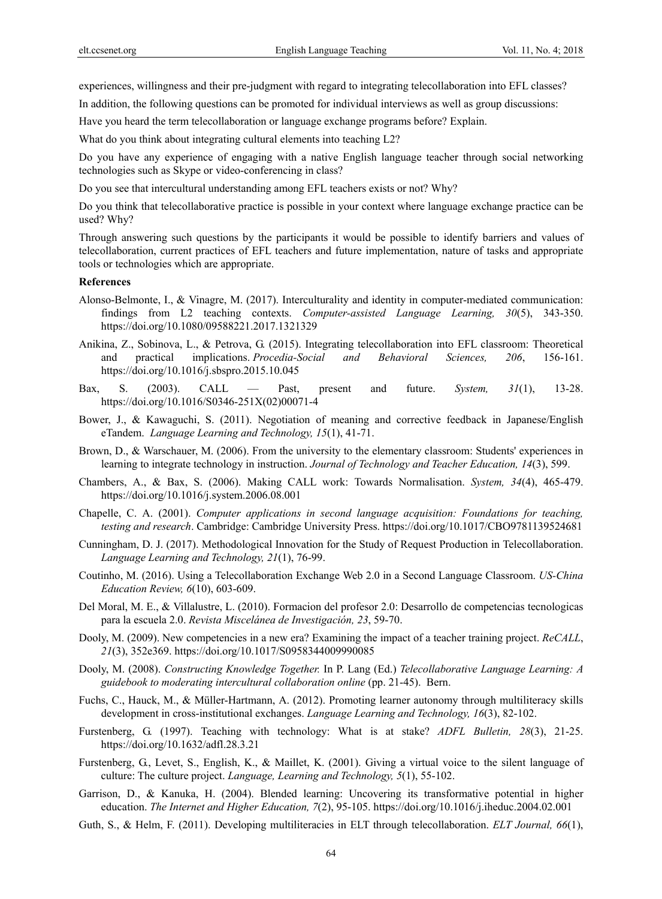experiences, willingness and their pre-judgment with regard to integrating telecollaboration into EFL classes?

In addition, the following questions can be promoted for individual interviews as well as group discussions:

Have you heard the term telecollaboration or language exchange programs before? Explain.

What do you think about integrating cultural elements into teaching L2?

Do you have any experience of engaging with a native English language teacher through social networking technologies such as Skype or video-conferencing in class?

Do you see that intercultural understanding among EFL teachers exists or not? Why?

Do you think that telecollaborative practice is possible in your context where language exchange practice can be used? Why?

Through answering such questions by the participants it would be possible to identify barriers and values of telecollaboration, current practices of EFL teachers and future implementation, nature of tasks and appropriate tools or technologies which are appropriate.

#### **References**

- Alonso-Belmonte, I., & Vinagre, M. (2017). Interculturality and identity in computer-mediated communication: findings from L2 teaching contexts. *Computer-assisted Language Learning, 30*(5), 343-350. https://doi.org/10.1080/09588221.2017.1321329
- Anikina, Z., Sobinova, L., & Petrova, G. (2015). Integrating telecollaboration into EFL classroom: Theoretical and practical implications. *Procedia-Social and Behavioral Sciences, 206*, 156-161. https://doi.org/10.1016/j.sbspro.2015.10.045
- Bax, S. (2003). CALL Past, present and future. *System, 31*(1), 13-28. https://doi.org/10.1016/S0346-251X(02)00071-4
- Bower, J., & Kawaguchi, S. (2011). Negotiation of meaning and corrective feedback in Japanese/English eTandem. *Language Learning and Technology, 15*(1), 41-71.
- Brown, D., & Warschauer, M. (2006). From the university to the elementary classroom: Students' experiences in learning to integrate technology in instruction. *Journal of Technology and Teacher Education, 14*(3), 599.
- Chambers, A., & Bax, S. (2006). Making CALL work: Towards Normalisation. *System, 34*(4), 465-479. https://doi.org/10.1016/j.system.2006.08.001
- Chapelle, C. A. (2001). *Computer applications in second language acquisition: Foundations for teaching, testing and research*. Cambridge: Cambridge University Press. https://doi.org/10.1017/CBO9781139524681
- Cunningham, D. J. (2017). Methodological Innovation for the Study of Request Production in Telecollaboration. *Language Learning and Technology, 21*(1), 76-99.
- Coutinho, M. (2016). Using a Telecollaboration Exchange Web 2.0 in a Second Language Classroom. *US-China Education Review, 6*(10), 603-609.
- Del Moral, M. E., & Villalustre, L. (2010). Formacion del profesor 2.0: Desarrollo de competencias tecnologicas para la escuela 2.0. *Revista Miscelánea de Investigación, 23*, 59-70.
- Dooly, M. (2009). New competencies in a new era? Examining the impact of a teacher training project. *ReCALL*, *21*(3), 352e369. https://doi.org/10.1017/S0958344009990085
- Dooly, M. (2008). *Constructing Knowledge Together.* In P. Lang (Ed.) *Telecollaborative Language Learning: A guidebook to moderating intercultural collaboration online* (pp. 21-45). Bern.
- Fuchs, C., Hauck, M., & Müller-Hartmann, A. (2012). Promoting learner autonomy through multiliteracy skills development in cross-institutional exchanges. *Language Learning and Technology, 16*(3), 82-102.
- Furstenberg, G. (1997). Teaching with technology: What is at stake? *ADFL Bulletin, 28*(3), 21-25. https://doi.org/10.1632/adfl.28.3.21
- Furstenberg, G., Levet, S., English, K., & Maillet, K. (2001). Giving a virtual voice to the silent language of culture: The culture project. *Language, Learning and Technology, 5*(1), 55-102.
- Garrison, D., & Kanuka, H. (2004). Blended learning: Uncovering its transformative potential in higher education. *The Internet and Higher Education, 7*(2), 95-105. https://doi.org/10.1016/j.iheduc.2004.02.001
- Guth, S., & Helm, F. (2011). Developing multiliteracies in ELT through telecollaboration. *ELT Journal, 66*(1),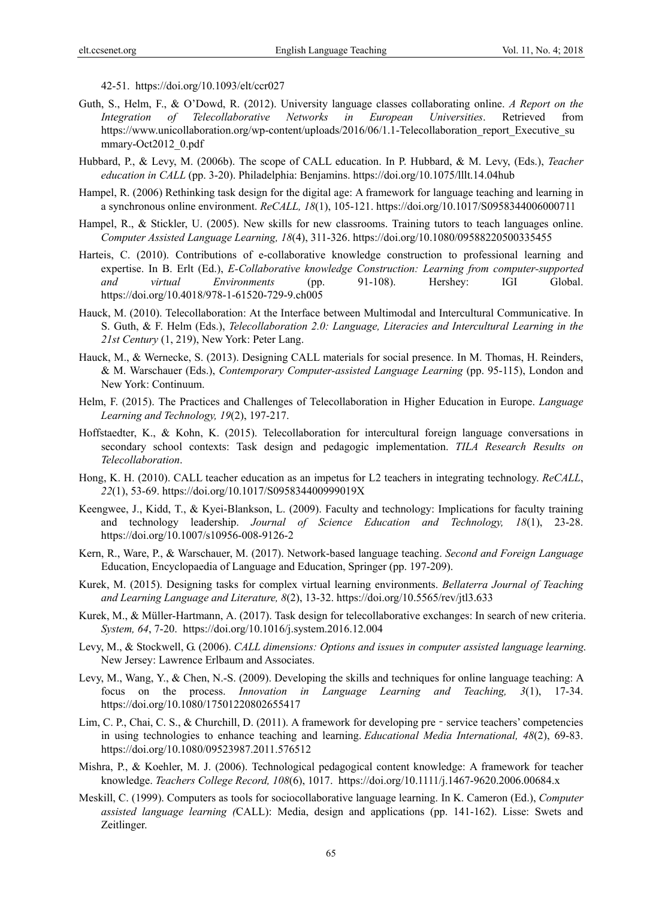42-51. https://doi.org/10.1093/elt/ccr027

- Guth, S., Helm, F., & O'Dowd, R. (2012). University language classes collaborating online. *A Report on the Integration of Telecollaborative Networks in European Universities*. Retrieved from https://www.unicollaboration.org/wp-content/uploads/2016/06/1.1-Telecollaboration\_report\_Executive\_su mmary-Oct2012\_0.pdf
- Hubbard, P., & Levy, M. (2006b). The scope of CALL education. In P. Hubbard, & M. Levy, (Eds.), *Teacher education in CALL* (pp. 3-20). Philadelphia: Benjamins. https://doi.org/10.1075/lllt.14.04hub
- Hampel, R. (2006) Rethinking task design for the digital age: A framework for language teaching and learning in a synchronous online environment. *ReCALL, 18*(1), 105-121. https://doi.org/10.1017/S0958344006000711
- Hampel, R., & Stickler, U. (2005). New skills for new classrooms. Training tutors to teach languages online. *Computer Assisted Language Learning, 18*(4), 311-326. https://doi.org/10.1080/09588220500335455
- Harteis, C. (2010). Contributions of e-collaborative knowledge construction to professional learning and expertise. In B. Erlt (Ed.), *E-Collaborative knowledge Construction: Learning from computer-supported and virtual Environments* (pp. 91-108). Hershey: IGI Global. https://doi.org/10.4018/978-1-61520-729-9.ch005
- Hauck, M. (2010). Telecollaboration: At the Interface between Multimodal and Intercultural Communicative. In S. Guth, & F. Helm (Eds.), *Telecollaboration 2.0: Language, Literacies and Intercultural Learning in the 21st Century* (1, 219), New York: Peter Lang.
- Hauck, M., & Wernecke, S. (2013). Designing CALL materials for social presence. In M. Thomas, H. Reinders, & M. Warschauer (Eds.), *Contemporary Computer-assisted Language Learning* (pp. 95-115), London and New York: Continuum.
- Helm, F. (2015). The Practices and Challenges of Telecollaboration in Higher Education in Europe. *Language Learning and Technology, 19*(2), 197-217.
- Hoffstaedter, K., & Kohn, K. (2015). Telecollaboration for intercultural foreign language conversations in secondary school contexts: Task design and pedagogic implementation. *TILA Research Results on Telecollaboration*.
- Hong, K. H. (2010). CALL teacher education as an impetus for L2 teachers in integrating technology. *ReCALL*, *22*(1), 53-69. https://doi.org/10.1017/S095834400999019X
- Keengwee, J., Kidd, T., & Kyei-Blankson, L. (2009). Faculty and technology: Implications for faculty training and technology leadership. *Journal of Science Education and Technology, 18*(1), 23-28. https://doi.org/10.1007/s10956-008-9126-2
- Kern, R., Ware, P., & Warschauer, M. (2017). Network-based language teaching. *Second and Foreign Language*  Education, Encyclopaedia of Language and Education, Springer (pp. 197-209).
- Kurek, M. (2015). Designing tasks for complex virtual learning environments. *Bellaterra Journal of Teaching and Learning Language and Literature, 8*(2), 13-32. https://doi.org/10.5565/rev/jtl3.633
- Kurek, M., & Müller-Hartmann, A. (2017). Task design for telecollaborative exchanges: In search of new criteria. *System, 64*, 7-20. https://doi.org/10.1016/j.system.2016.12.004
- Levy, M., & Stockwell, G. (2006). *CALL dimensions: Options and issues in computer assisted language learning*. New Jersey: Lawrence Erlbaum and Associates.
- Levy, M., Wang, Y., & Chen, N.-S. (2009). Developing the skills and techniques for online language teaching: A focus on the process. *Innovation in Language Learning and Teaching, 3*(1), 17-34. https://doi.org/10.1080/17501220802655417
- Lim, C. P., Chai, C. S., & Churchill, D. (2011). A framework for developing pre‐service teachers' competencies in using technologies to enhance teaching and learning. *Educational Media International, 48*(2), 69-83. https://doi.org/10.1080/09523987.2011.576512
- Mishra, P., & Koehler, M. J. (2006). Technological pedagogical content knowledge: A framework for teacher knowledge. *Teachers College Record, 108*(6), 1017. https://doi.org/10.1111/j.1467-9620.2006.00684.x
- Meskill, C. (1999). Computers as tools for sociocollaborative language learning. In K. Cameron (Ed.), *Computer assisted language learning (*CALL): Media, design and applications (pp. 141-162). Lisse: Swets and Zeitlinger.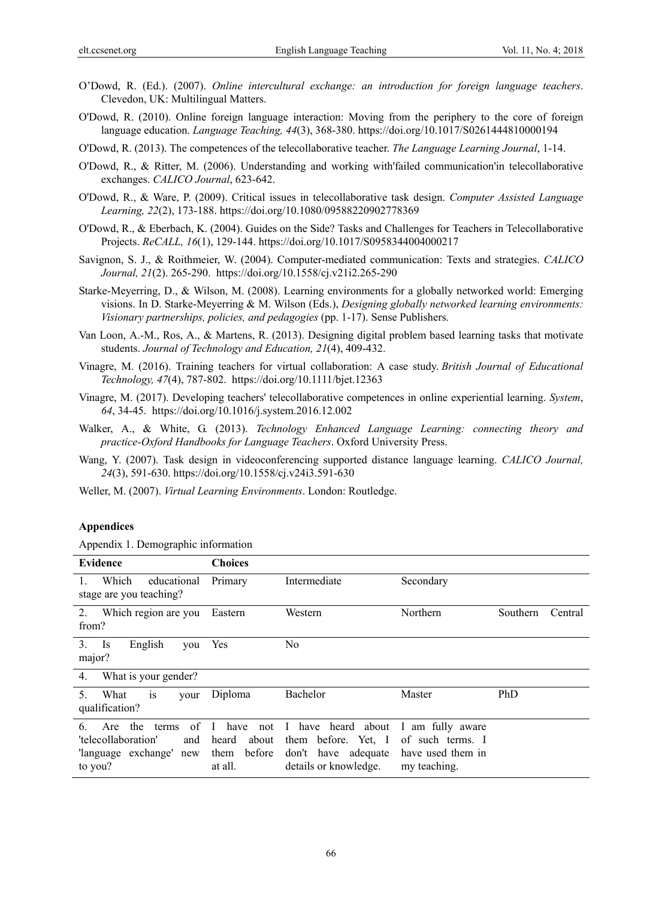- O'Dowd, R. (Ed.). (2007). *Online intercultural exchange: an introduction for foreign language teachers*. Clevedon, UK: Multilingual Matters.
- O'Dowd, R. (2010). Online foreign language interaction: Moving from the periphery to the core of foreign language education. *Language Teaching, 44*(3), 368-380. https://doi.org/10.1017/S0261444810000194

O'Dowd, R. (2013). The competences of the telecollaborative teacher. *The Language Learning Journal*, 1-14.

- O'Dowd, R., & Ritter, M. (2006). Understanding and working with'failed communication'in telecollaborative exchanges. *CALICO Journal*, 623-642.
- O'Dowd, R., & Ware, P. (2009). Critical issues in telecollaborative task design. *Computer Assisted Language Learning, 22*(2), 173-188. https://doi.org/10.1080/09588220902778369
- O'Dowd, R., & Eberbach, K. (2004). Guides on the Side? Tasks and Challenges for Teachers in Telecollaborative Projects. *ReCALL, 16*(1), 129-144. https://doi.org/10.1017/S0958344004000217
- Savignon, S. J., & Roithmeier, W. (2004). Computer-mediated communication: Texts and strategies. *CALICO Journal, 21*(2). 265-290. https://doi.org/10.1558/cj.v21i2.265-290
- Starke-Meyerring, D., & Wilson, M. (2008). Learning environments for a globally networked world: Emerging visions. In D. Starke-Meyerring & M. Wilson (Eds.), *Designing globally networked learning environments: Visionary partnerships, policies, and pedagogies* (pp. 1-17). Sense Publishers.
- Van Loon, A.-M., Ros, A., & Martens, R. (2013). Designing digital problem based learning tasks that motivate students. *Journal of Technology and Education, 21*(4), 409-432.
- Vinagre, M. (2016). Training teachers for virtual collaboration: A case study. *British Journal of Educational Technology, 47*(4), 787-802. https://doi.org/10.1111/bjet.12363
- Vinagre, M. (2017). Developing teachers' telecollaborative competences in online experiential learning. *System*, *64*, 34-45. https://doi.org/10.1016/j.system.2016.12.002
- Walker, A., & White, G. (2013). *Technology Enhanced Language Learning: connecting theory and practice-Oxford Handbooks for Language Teachers*. Oxford University Press.
- Wang, Y. (2007). Task design in videoconferencing supported distance language learning. *CALICO Journal, 24*(3), 591-630. https://doi.org/10.1558/cj.v24i3.591-630
- Weller, M. (2007). *Virtual Learning Environments*. London: Routledge.

#### **Appendices**

Appendix 1. Demographic information

| <b>Evidence</b>                                                                            | <b>Choices</b>                                           |                                                                                                                |                                                       |          |         |
|--------------------------------------------------------------------------------------------|----------------------------------------------------------|----------------------------------------------------------------------------------------------------------------|-------------------------------------------------------|----------|---------|
| Which<br>educational<br>$\mathbf{1}_{\cdot}$<br>stage are you teaching?                    | Primary                                                  | Intermediate                                                                                                   | Secondary                                             |          |         |
| Which region are you<br>2.<br>from?                                                        | Eastern                                                  | Western                                                                                                        | Northern                                              | Southern | Central |
| $3.$ Is<br>English<br>you<br>major?                                                        | Yes                                                      | No.                                                                                                            |                                                       |          |         |
| What is your gender?<br>4.                                                                 |                                                          |                                                                                                                |                                                       |          |         |
| $5_{-}$<br>What<br>1S<br>your<br>qualification?                                            | Diploma                                                  | Bachelor                                                                                                       | Master                                                | PhD      |         |
| Are the<br>6.<br>terms<br>'telecollaboration'<br>and<br>'language exchange' new<br>to you? | of I have<br>about<br>heard<br>before<br>them<br>at all. | not I have heard about I am fully aware<br>them before. Yet, I<br>don't have adequate<br>details or knowledge. | of such terms. I<br>have used them in<br>my teaching. |          |         |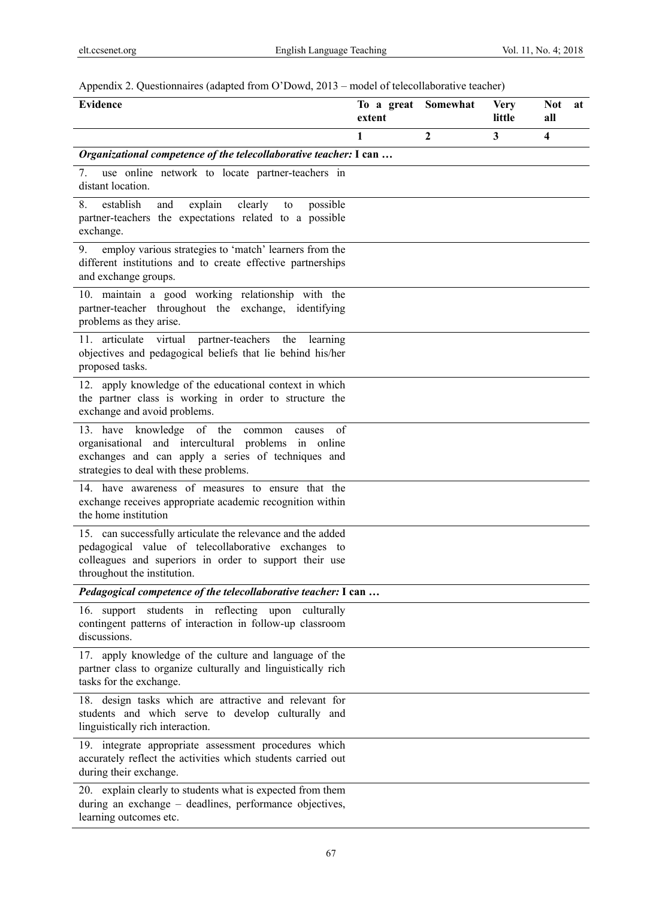# Appendix 2. Questionnaires (adapted from O'Dowd, 2013 – model of telecollaborative teacher)

| Evidence                                                                                                                                                                                                          | To a great<br>extent | Somewhat     | <b>Very</b><br>little | <b>Not</b><br>all       | at |  |  |  |  |
|-------------------------------------------------------------------------------------------------------------------------------------------------------------------------------------------------------------------|----------------------|--------------|-----------------------|-------------------------|----|--|--|--|--|
|                                                                                                                                                                                                                   | 1                    | $\mathbf{2}$ | 3                     | $\overline{\mathbf{4}}$ |    |  |  |  |  |
| Organizational competence of the telecollaborative teacher: I can                                                                                                                                                 |                      |              |                       |                         |    |  |  |  |  |
| use online network to locate partner-teachers in<br>7.<br>distant location.                                                                                                                                       |                      |              |                       |                         |    |  |  |  |  |
| establish<br>8.<br>and<br>explain<br>clearly<br>possible<br>to<br>partner-teachers the expectations related to a possible<br>exchange.                                                                            |                      |              |                       |                         |    |  |  |  |  |
| employ various strategies to 'match' learners from the<br>9.<br>different institutions and to create effective partnerships<br>and exchange groups.                                                               |                      |              |                       |                         |    |  |  |  |  |
| 10. maintain a good working relationship with the<br>partner-teacher throughout the exchange, identifying<br>problems as they arise.                                                                              |                      |              |                       |                         |    |  |  |  |  |
| 11. articulate virtual<br>partner-teachers<br>the<br>learning<br>objectives and pedagogical beliefs that lie behind his/her<br>proposed tasks.                                                                    |                      |              |                       |                         |    |  |  |  |  |
| 12. apply knowledge of the educational context in which<br>the partner class is working in order to structure the<br>exchange and avoid problems.                                                                 |                      |              |                       |                         |    |  |  |  |  |
| knowledge of the<br>13. have<br>of<br>common<br>causes<br>organisational and intercultural problems<br>in online<br>exchanges and can apply a series of techniques and<br>strategies to deal with these problems. |                      |              |                       |                         |    |  |  |  |  |
| 14. have awareness of measures to ensure that the<br>exchange receives appropriate academic recognition within<br>the home institution                                                                            |                      |              |                       |                         |    |  |  |  |  |
| 15. can successfully articulate the relevance and the added<br>pedagogical value of telecollaborative exchanges to<br>colleagues and superiors in order to support their use<br>throughout the institution.       |                      |              |                       |                         |    |  |  |  |  |
| Pedagogical competence of the telecollaborative teacher: I can                                                                                                                                                    |                      |              |                       |                         |    |  |  |  |  |
| 16. support students in reflecting upon culturally<br>contingent patterns of interaction in follow-up classroom<br>discussions.                                                                                   |                      |              |                       |                         |    |  |  |  |  |
| 17. apply knowledge of the culture and language of the<br>partner class to organize culturally and linguistically rich<br>tasks for the exchange.                                                                 |                      |              |                       |                         |    |  |  |  |  |
| 18. design tasks which are attractive and relevant for<br>students and which serve to develop culturally and<br>linguistically rich interaction.                                                                  |                      |              |                       |                         |    |  |  |  |  |
| 19. integrate appropriate assessment procedures which<br>accurately reflect the activities which students carried out<br>during their exchange.                                                                   |                      |              |                       |                         |    |  |  |  |  |
| 20. explain clearly to students what is expected from them<br>during an exchange - deadlines, performance objectives,<br>learning outcomes etc.                                                                   |                      |              |                       |                         |    |  |  |  |  |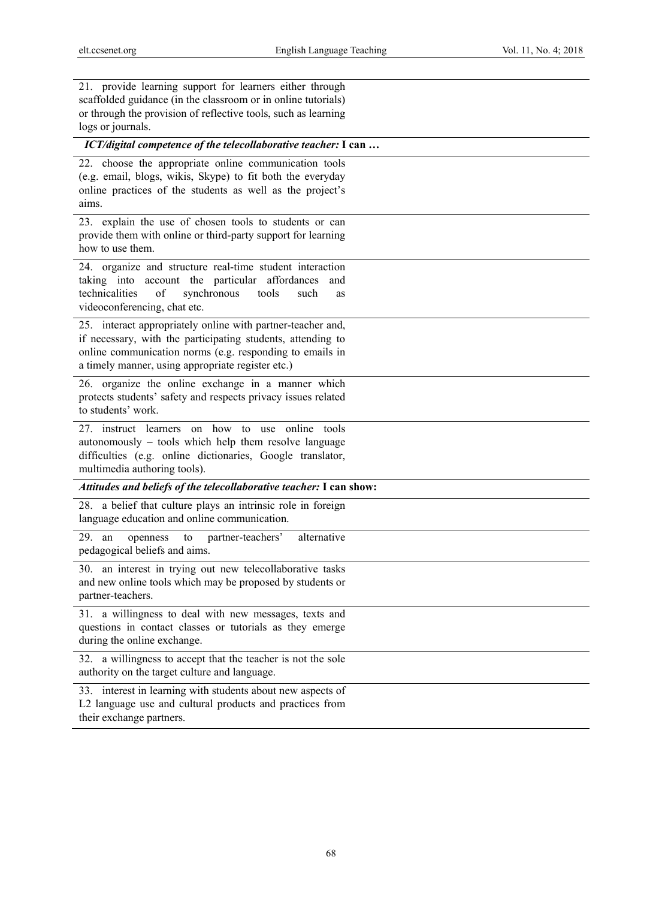21. provide learning support for learners either through scaffolded guidance (in the classroom or in online tutorials) or through the provision of reflective tools, such as learning logs or journals. *ICT/digital competence of the telecollaborative teacher: I* 

| <i>ICT/digital competence of the telecollaborative teacher:</i> I can                                                                                                                                                                       |
|---------------------------------------------------------------------------------------------------------------------------------------------------------------------------------------------------------------------------------------------|
| choose the appropriate online communication tools<br>22.<br>(e.g. email, blogs, wikis, Skype) to fit both the everyday<br>online practices of the students as well as the project's<br>aims.                                                |
| 23. explain the use of chosen tools to students or can<br>provide them with online or third-party support for learning<br>how to use them.                                                                                                  |
| 24. organize and structure real-time student interaction<br>taking into account the particular affordances<br>and<br>technicalities<br>οf<br>synchronous<br>tools<br>such<br><b>as</b><br>videoconferencing, chat etc.                      |
| 25. interact appropriately online with partner-teacher and,<br>if necessary, with the participating students, attending to<br>online communication norms (e.g. responding to emails in<br>a timely manner, using appropriate register etc.) |
| 26. organize the online exchange in a manner which<br>protects students' safety and respects privacy issues related<br>to students' work.                                                                                                   |
| learners on<br>how<br>use online<br>27. instruct<br>to<br>tools<br>autonomously - tools which help them resolve language<br>difficulties (e.g. online dictionaries, Google translator,<br>multimedia authoring tools).                      |
| Attitudes and beliefs of the telecollaborative teacher: I can show:                                                                                                                                                                         |
| 28. a belief that culture plays an intrinsic role in foreign<br>language education and online communication.                                                                                                                                |
| $29.$ an<br>partner-teachers'<br>alternative<br>to<br>openness<br>pedagogical beliefs and aims.                                                                                                                                             |
| 30. an interest in trying out new telecollaborative tasks<br>and new online tools which may be proposed by students or<br>partner-teachers.                                                                                                 |
| 31. a willingness to deal with new messages, texts and<br>questions in contact classes or tutorials as they emerge<br>during the online exchange.                                                                                           |
| a willingness to accept that the teacher is not the sole<br>32.<br>authority on the target culture and language.                                                                                                                            |
| 33. interest in learning with students about new aspects of<br>L2 language use and cultural products and practices from<br>their exchange partners.                                                                                         |